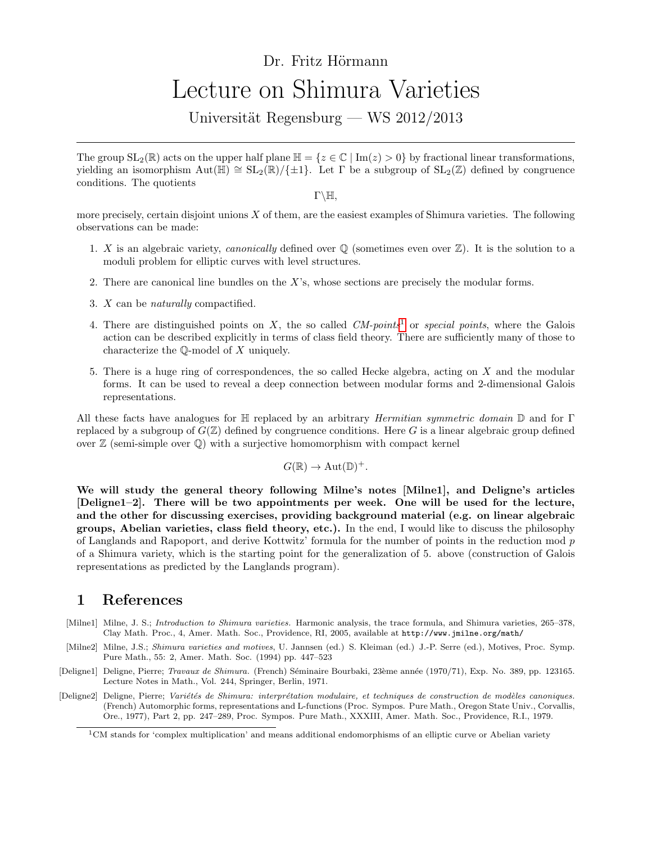## Dr. Fritz Hörmann Lecture on Shimura Varieties

Universität Regensburg — WS  $2012/2013$ 

The group  $SL_2(\mathbb{R})$  acts on the upper half plane  $\mathbb{H} = \{z \in \mathbb{C} \mid \text{Im}(z) > 0\}$  by fractional linear transformations, yielding an isomorphism  $Aut(\mathbb{H}) \cong SL_2(\mathbb{R})/\{\pm 1\}$ . Let Γ be a subgroup of  $SL_2(\mathbb{Z})$  defined by congruence conditions. The quotients

 $\Gamma\backslash\mathbb{H}$ ,

more precisely, certain disjoint unions  $X$  of them, are the easiest examples of Shimura varieties. The following observations can be made:

- 1. X is an algebraic variety, *canonically* defined over  $\mathbb{Q}$  (sometimes even over  $\mathbb{Z}$ ). It is the solution to a moduli problem for elliptic curves with level structures.
- 2. There are canonical line bundles on the X's, whose sections are precisely the modular forms.
- 3. X can be naturally compactified.
- 4. There are distinguished points on X, the so called  $CM$ -points<sup>[1](#page-0-0)</sup> or special points, where the Galois action can be described explicitly in terms of class field theory. There are sufficiently many of those to characterize the Q-model of X uniquely.
- 5. There is a huge ring of correspondences, the so called Hecke algebra, acting on X and the modular forms. It can be used to reveal a deep connection between modular forms and 2-dimensional Galois representations.

All these facts have analogues for  $\mathbb H$  replaced by an arbitrary *Hermitian symmetric domain*  $\mathbb D$  and for Γ replaced by a subgroup of  $G(\mathbb{Z})$  defined by congruence conditions. Here G is a linear algebraic group defined over  $\mathbb Z$  (semi-simple over  $\mathbb Q$ ) with a surjective homomorphism with compact kernel

$$
G(\mathbb{R}) \to \mathrm{Aut}(\mathbb{D})^+.
$$

We will study the general theory following Milne's notes [Milne1], and Deligne's articles [Deligne1–2]. There will be two appointments per week. One will be used for the lecture, and the other for discussing exercises, providing background material (e.g. on linear algebraic groups, Abelian varieties, class field theory, etc.). In the end, I would like to discuss the philosophy of Langlands and Rapoport, and derive Kottwitz' formula for the number of points in the reduction mod p of a Shimura variety, which is the starting point for the generalization of 5. above (construction of Galois representations as predicted by the Langlands program).

## 1 References

- [Milne1] Milne, J. S.; Introduction to Shimura varieties. Harmonic analysis, the trace formula, and Shimura varieties, 265–378, Clay Math. Proc., 4, Amer. Math. Soc., Providence, RI, 2005, available at http://www.jmilne.org/math/
- [Milne2] Milne, J.S.; Shimura varieties and motives, U. Jannsen (ed.) S. Kleiman (ed.) J.-P. Serre (ed.), Motives, Proc. Symp. Pure Math., 55: 2, Amer. Math. Soc. (1994) pp. 447–523
- [Deligne1] Deligne, Pierre; Travaux de Shimura. (French) Séminaire Bourbaki, 23ème année (1970/71), Exp. No. 389, pp. 123165. Lecture Notes in Math., Vol. 244, Springer, Berlin, 1971.
- [Deligne2] Deligne, Pierre; Variétés de Shimura: interprétation modulaire, et techniques de construction de modèles canoniques. (French) Automorphic forms, representations and L-functions (Proc. Sympos. Pure Math., Oregon State Univ., Corvallis, Ore., 1977), Part 2, pp. 247–289, Proc. Sympos. Pure Math., XXXIII, Amer. Math. Soc., Providence, R.I., 1979.

<span id="page-0-0"></span> $1$ CM stands for 'complex multiplication' and means additional endomorphisms of an elliptic curve or Abelian variety